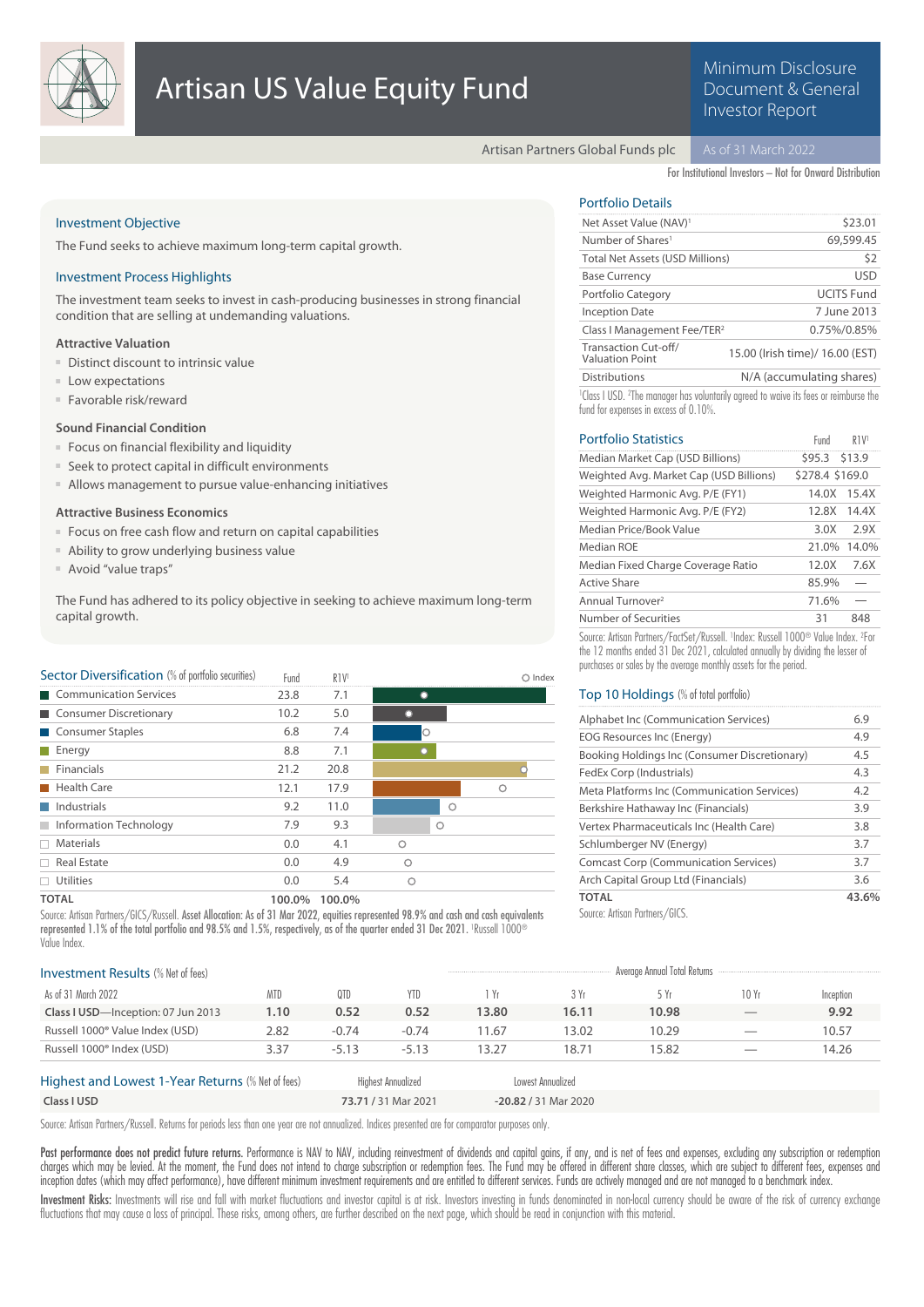

# Minimum Disclosure Document & General Investor Report

Artisan Partners Global Funds plc

For Institutional Investors – Not for Onward Distribution

# Investment Objective

The Fund seeks to achieve maximum long-term capital growth.

## Investment Process Highlights

The investment team seeks to invest in cash-producing businesses in strong financial condition that are selling at undemanding valuations.

## **Attractive Valuation**

- Distinct discount to intrinsic value
- Low expectations
- Favorable risk/reward

# **Sound Financial Condition**

- Focus on financial flexibility and liquidity
- Seek to protect capital in difficult environments
- Allows management to pursue value-enhancing initiatives

#### **Attractive Business Economics**

- Focus on free cash flow and return on capital capabilities
- Ability to grow underlying business value
- Avoid "value traps"

The Fund has adhered to its policy objective in seeking to achieve maximum long-term capital growth.

| Sector Diversification (% of portfolio securities) | Fund   | R <sub>1V</sub> |   |         | $\bigcirc$ Index |
|----------------------------------------------------|--------|-----------------|---|---------|------------------|
| Communication Services                             | 23.8   | 7.1             |   |         |                  |
| Consumer Discretionary                             | 10.2   | 5.0             |   |         |                  |
| Consumer Staples                                   | 6.8    | 7.4             |   |         |                  |
| $\blacksquare$ Energy                              | 8.8    | 7.1             |   |         |                  |
| Financials                                         | 21.2   | 20.8            |   |         |                  |
| <b>Health Care</b>                                 | 12.1   | 17.9            |   |         | ∩                |
| $\blacksquare$ Industrials                         | 9.2    | 11.0            |   | $\circ$ |                  |
| Information Technology                             | 7.9    | 9.3             |   | $\circ$ |                  |
| $\Box$ Materials                                   | 0.0    | 4.1             | Ο |         |                  |
| $\Box$ Real Estate                                 | 0.0    | 4.9             | ∩ |         |                  |
| $\Box$ Utilities                                   | 0.0    | 5.4             | Ο |         |                  |
| <b>TOTAL</b>                                       | 100.0% | 100.0%          |   |         |                  |

Source: Artisan Partners/GICS/Russell. Asset Allocation: As of 31 Mar 2022, equities represented 98.9% and cash and cash equivalents represented 1.1% of the total portfolio and 98.5% and 1.5%, respectively, as of the quarter ended 31 Dec 2021. 'Russell 1000® Value Index.

# Portfolio Details

| Net Asset Value (NAV) <sup>1</sup>             | \$23.01                         |
|------------------------------------------------|---------------------------------|
| Number of Shares <sup>1</sup>                  | 69,599.45                       |
| <b>Total Net Assets (USD Millions)</b>         | \$2                             |
| <b>Base Currency</b>                           | <b>USD</b>                      |
| Portfolio Category                             | <b>UCITS Fund</b>               |
| <b>Inception Date</b>                          | 7 June 2013                     |
| Class I Management Fee/TER <sup>2</sup>        | 0.75%/0.85%                     |
| Transaction Cut-off/<br><b>Valuation Point</b> | 15.00 (Irish time)/ 16.00 (EST) |
| <b>Distributions</b>                           | N/A (accumulating shares)       |
|                                                |                                 |

<sup>1</sup> Class I USD. <sup>2</sup>The manager has voluntarily agreed to waive its fees or reimburse the fund for expenses in excess of 0.10%.

| <b>Portfolio Statistics</b>             | Fund            | R <sub>1V</sub> |
|-----------------------------------------|-----------------|-----------------|
| Median Market Cap (USD Billions)        | \$95.3 \$13.9   |                 |
| Weighted Avg. Market Cap (USD Billions) | \$278.4 \$169.0 |                 |
| Weighted Harmonic Avg. P/E (FY1)        | 14.0X           | 15.4X           |
| Weighted Harmonic Avg. P/E (FY2)        | 12.8X           | 14.4X           |
| Median Price/Book Value                 | 3.0X            | 2.9X            |
| Median ROE                              | 21.0%           | 14.0%           |
| Median Fixed Charge Coverage Ratio      | 12.0X           | 7.6X            |
| <b>Active Share</b>                     | 85.9%           |                 |
| Annual Turnover <sup>2</sup>            | 71.6%           |                 |
| Number of Securities                    | 31              | 848             |
|                                         |                 |                 |

Source: Artisan Partners/FactSet/Russell. <sup>1</sup>Index: Russell 1000<sup>®</sup> Value Index. <sup>2</sup>For the 12 months ended  $31$  Dec 2021, calculated annually by dividing the lesser of purchases or sales by the average monthly assets for the period.

# Top 10 Holdings (% of total portfolio)

| Alphabet Inc (Communication Services)           | 6.9   |
|-------------------------------------------------|-------|
| EOG Resources Inc (Energy)                      | 4.9   |
| Booking Holdings Inc (Consumer Discretionary)   | 4.5   |
| FedEx Corp (Industrials)                        | 4.3   |
| Meta Platforms Inc (Communication Services)     | 4.2   |
| Berkshire Hathaway Inc (Financials)             | 3.9   |
| Vertex Pharmaceuticals Inc (Health Care)        | 3.8   |
| Schlumberger NV (Energy)                        | 3.7   |
| <b>Comcast Corp (Communication Services)</b>    | 3.7   |
| Arch Capital Group Ltd (Financials)             | 3.6   |
| <b>TOTAL</b>                                    | 43.6% |
| $C_{\text{source}}$ , Antonio Dominico, $/CICC$ |       |

Source: Artisan Partners/GICS.

| <b>Investment Results (% Net of fees)</b>         |            |         |                    |       |                   | Average Annual Total Returns |                          |           |
|---------------------------------------------------|------------|---------|--------------------|-------|-------------------|------------------------------|--------------------------|-----------|
| As of 31 March 2022                               | <b>MTD</b> | 0TD     | YTD.               | i Yr  | 3 Yr              | 5 Yr                         | 10 Yr                    | Inception |
| Class I USD-Inception: 07 Jun 2013                | 1.10       | 0.52    | 0.52               | 13.80 | 16.11             | 10.98                        | $\overline{\phantom{a}}$ | 9.92      |
| Russell 1000 <sup>®</sup> Value Index (USD)       | 2.82       | $-0.74$ | $-0.74$            | 11.67 | 13.02             | 10.29                        | $\hspace{0.5cm}$         | 10.57     |
| Russell 1000 <sup>®</sup> Index (USD)             | 3.37       | $-5.13$ | $-5.13$            | 13.27 | 18.71             | 15.82                        | _                        | 14.26     |
| Highest and Lowest 1-Year Returns (% Net of fees) |            |         | Highest Annualized |       | Lowest Annualized |                              |                          |           |

# Highest and Lowest 1-Year Returns (% Net of fees) **Class I USD 73.71 /** 31 Mar 2021 **-20.82 /** 31 Mar 2020

Source: Artisan Partners/Russell. Returns for periods less than one year are not annualized. Indices presented are for comparator purposes only.

Past performance does not predict future returns. Performance is NAV to NAV, including reinvestment of dividends and capital gains, if any, and is net of fees and expenses, excluding any subscription or redemption charges which may be levied. At the moment, the Fund does not intend to charge subscription or redemption fees. The Fund may be offered in different share classes, which are subject to different fees, expenses and inception dates (which may affect performance), have different minimum investment requirements and are entitled to different services. Funds are actively managed and are not managed to a benchmark index.

Investment Risks: Investments will rise and fall with market fluctuations and investor capital is at risk. Investors investing in funds denominated in non-local currency should be aware of the risk of currency exchange fluctuations that may cause a loss of principal. These risks, among others, are further described on the next page, which should be read in conjunction with this material.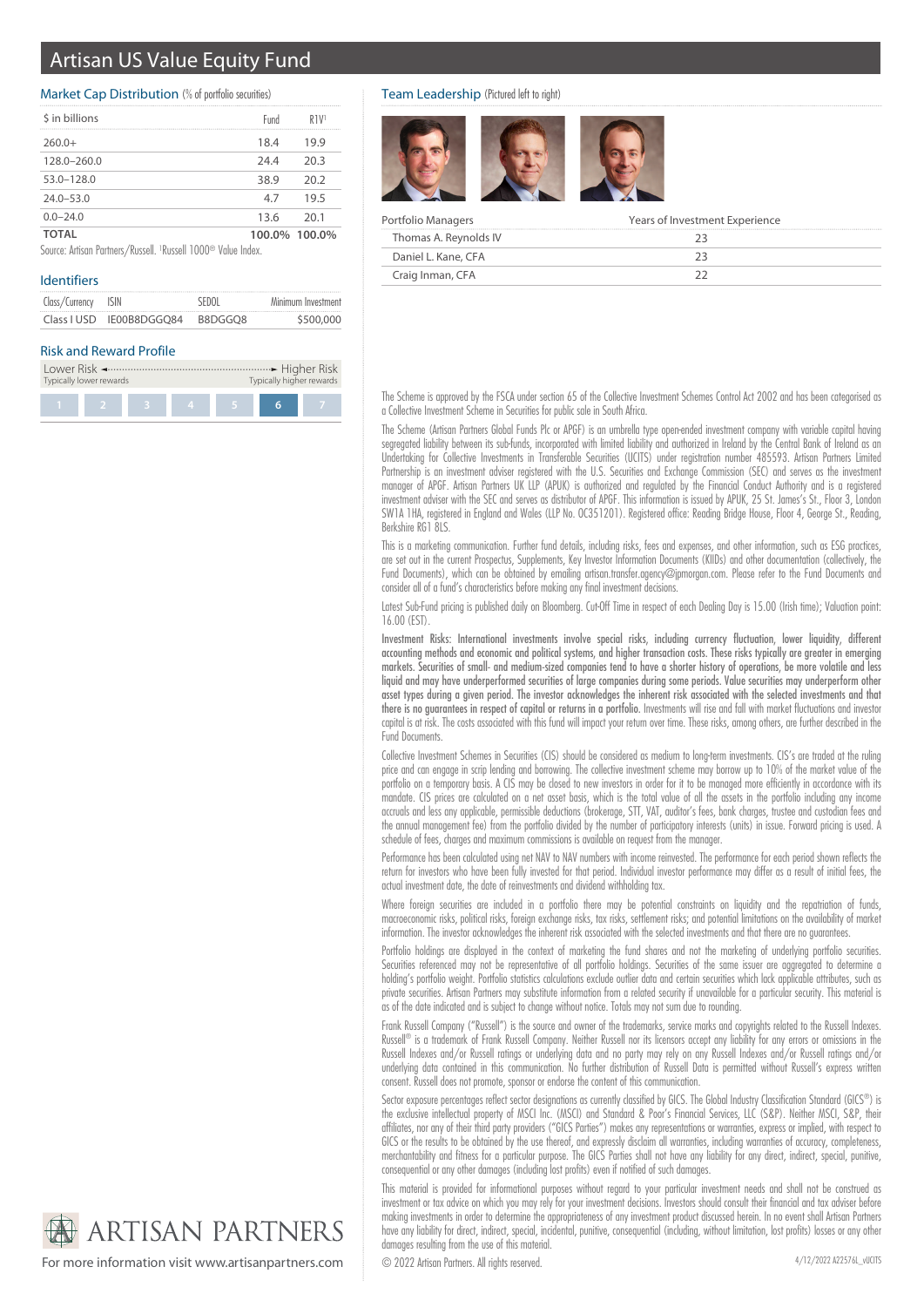# Artisan US Value Equity Fund

# Market Cap Distribution (% of portfolio securities)

| \$ in billions | Fund          | R <sub>1V</sub> |
|----------------|---------------|-----------------|
| $260.0+$       | 18.4          | 19.9            |
| 128.0-260.0    | 24.4          | 20.3            |
| $53.0 - 128.0$ | 38.9          | 20.2            |
| $24.0 - 53.0$  | 4.7           | 19.5            |
| $0.0 - 24.0$   | 13.6          | 20.1            |
| TOTAL          | 100.0% 100.0% |                 |

Source: Artisan Partners/Russell. <sup>1</sup> Russell 1000® Value Index.

# Identifiers

| Class/Currency ISIN |                          | SEDOL   | Minimum Investment |
|---------------------|--------------------------|---------|--------------------|
|                     | Class I USD IE00B8DGGO84 | B8DGGO8 | \$500,000          |

#### Risk and Reward Profile

| Typically lower rewards |  |  |  | Typically higher rewards |  |  |
|-------------------------|--|--|--|--------------------------|--|--|
|                         |  |  |  | $\mathbf{A}$             |  |  |

## Team Leadership (Pictured left to right)



| Portfolio Managers    | Years of Investment Experience |
|-----------------------|--------------------------------|
| Thomas A. Reynolds IV |                                |
| Daniel L. Kane, CFA   |                                |
| Craig Inman, CFA      |                                |

The Scheme is approved by the FSCA under section 65 of the Collective Investment Schemes Control Act 2002 and has been categorised as a Collective Investment Scheme in Securities for public sale in South Africa.

The Scheme (Artisan Partners Global Funds Plc or APGF) is an umbrella type open-ended investment company with variable capital having segregated liability between its sub-funds, incorporated with limited liability and authorized in Ireland by the Central Bank of Ireland as an Undertaking for Collective Investments in Transferable Securities (UCITS) under registration number 485593. Artisan Partners Limited Partnership is an investment adviser registered with the U.S. Securities and Exchange Commission (SEC) and serves as the investment manager of APGF. Artisan Partners UK LLP (APUK) is authorized and regulated by the Financial Conduct Authority and is a registered investment adviser with the SEC and serves as distributor of APGF. This information is issued by APUK, 25 St. James's St., Floor 3, London SW1A 1HA, registered in England and Wales (LLP No. OC351201). Registered office: Reading Bridge House, Floor 4, George St., Reading, Berkshire RG1 8LS.

This is a marketing communication. Further fund details, including risks, fees and expenses, and other information, such as ESG practices, are set out in the current Prospectus, Supplements, Key Investor Information Documents (KIIDs) and other documentation (collectively, the Fund Documents), which can be obtained by emailing artisan.transfer.agency@jpmorgan.com. Please refer to the Fund Documents and consider all of a fund's characteristics before making any final investment decisions.

Latest Sub-Fund pricing is published daily on Bloomberg. Cut-Off Time in respect of each Dealing Day is 15.00 (Irish time); Valuation point: 16.00 (EST).

Investment Risks: International investments involve special risks, including currency fluctuation, lower liquidity, different accounting methods and economic and political systems, and higher transaction costs. These risks typically are greater in emerging markets. Securities of small- and medium-sized companies tend to have a shorter history of operations, be more volatile and less liquid and may have underperformed securities of large companies during some periods. Value securities may underperform other asset types during a given period. The investor acknowledges the inherent risk associated with the selected investments and that there is no guarantees in respect of capital or returns in a portfolio. Investments will rise and fall with market fluctuations and investor capital is at risk. The costs associated with this fund will impact your return over time. These risks, among others, are further described in the Fund Documents.

Collective Investment Schemes in Securities (CIS) should be considered as medium to long-term investments. CIS's are traded at the ruling price and can engage in scrip lending and borrowing. The collective investment scheme may borrow up to 10% of the market value of the portfolio on a temporary basis. A CIS may be closed to new investors in order for it to be managed more efficiently in accordance with its mandate. CIS prices are calculated on a net asset basis, which is the total value of all the assets in the portfolio including any income accruals and less any applicable, permissible deductions (brokerage, STT, VAT, auditor's fees, bank charges, trustee and custodian fees and the annual management fee) from the portfolio divided by the number of participatory interests (units) in issue. Forward pricing is used. A schedule of fees, charges and maximum commissions is available on request from the manager.

Performance has been calculated using net NAV to NAV numbers with income reinvested. The performance for each period shown reflects the return for investors who have been fully invested for that period. Individual investor performance may differ as a result of initial fees, the actual investment date, the date of reinvestments and dividend withholding tax.

Where foreign securities are included in a portfolio there may be potential constraints on liquidity and the repatriation of funds, macroeconomic risks, political risks, foreign exchange risks, tax risks, settlement risks; and potential limitations on the availability of market information. The investor acknowledges the inherent risk associated with the selected investments and that there are no guarantees.

Portfolio holdings are displayed in the context of marketing the fund shares and not the marketing of underlying portfolio securities. Securities referenced may not be representative of all portfolio holdings. Securities of the same issuer are aggregated to determine a holding's portfolio weight. Portfolio statistics calculations exclude outlier data and certain securities which lack applicable attributes, such as private securities. Artisan Partners may substitute information from a related security if unavailable for a particular security. This material is as of the date indicated and is subject to change without notice. Totals may not sum due to rounding.

Frank Russell Company ("Russell") is the source and owner of the trademarks, service marks and copyrights related to the Russell Indexes. Russell® is a trademark of Frank Russell Company. Neither Russell nor its licensors accept any liability for any errors or omissions in the Russell Indexes and/or Russell ratings or underlying data and no party may rely on any Russell Indexes and/or Russell ratings and/or underlying data contained in this communication. No further distribution of Russell Data is permitted without Russell's express written consent. Russell does not promote, sponsor or endorse the content of this communication.

Sector exposure percentages reflect sector designations as currently classified by GICS. The Global Industry Classification Standard (GICS®) is the exclusive intellectual property of MSCI Inc. (MSCI) and Standard & Poor's Financial Services, LLC (S&P). Neither MSCI, S&P, their affiliates, nor any of their third party providers ("GICS Parties") makes any representations or warranties, express or implied, with respect to GICS or the results to be obtained by the use thereof, and expressly disclaim all warranties, including warranties of accuracy, completeness, merchantability and fitness for a particular purpose. The GICS Parties shall not have any liability for any direct, indirect, special, punitive, consequential or any other damages (including lost profits) even if notified of such damages.

This material is provided for informational purposes without regard to your particular investment needs and shall not be construed as investment or tax advice on which you may rely for your investment decisions. Investors should consult their financial and tax adviser before making investments in order to determine the appropriateness of any investment product discussed herein. In no event shall Artisan Partners have any liability for direct, indirect, special, incidental, punitive, consequential (including, without limitation, lost profits) losses or any other damages resulting from the use of this material.

**ARTISAN PARTNERS** 

For more information visit www.artisanpartners.com  $\bigcirc$  2022 Artisan Partners. All rights reserved.